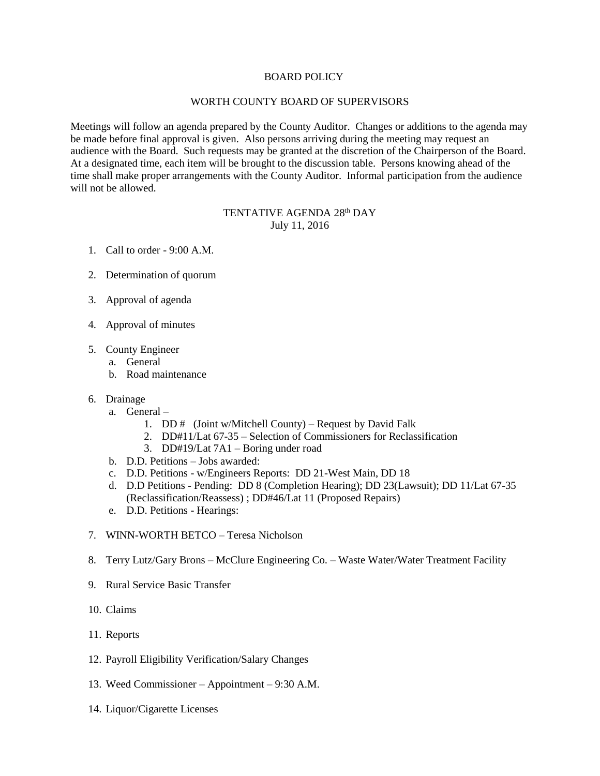## BOARD POLICY

## WORTH COUNTY BOARD OF SUPERVISORS

Meetings will follow an agenda prepared by the County Auditor. Changes or additions to the agenda may be made before final approval is given. Also persons arriving during the meeting may request an audience with the Board. Such requests may be granted at the discretion of the Chairperson of the Board. At a designated time, each item will be brought to the discussion table. Persons knowing ahead of the time shall make proper arrangements with the County Auditor. Informal participation from the audience will not be allowed.

## TENTATIVE AGENDA 28th DAY July 11, 2016

- 1. Call to order 9:00 A.M.
- 2. Determination of quorum
- 3. Approval of agenda
- 4. Approval of minutes
- 5. County Engineer
	- a. General
	- b. Road maintenance
- 6. Drainage
	- a. General
		- 1. DD  $\#$  (Joint w/Mitchell County) Request by David Falk
		- 2. DD#11/Lat 67-35 Selection of Commissioners for Reclassification
		- 3. DD#19/Lat 7A1 Boring under road
	- b. D.D. Petitions Jobs awarded:
	- c. D.D. Petitions w/Engineers Reports: DD 21-West Main, DD 18
	- d. D.D Petitions Pending: DD 8 (Completion Hearing); DD 23(Lawsuit); DD 11/Lat 67-35 (Reclassification/Reassess) ; DD#46/Lat 11 (Proposed Repairs)
	- e. D.D. Petitions Hearings:
- 7. WINN-WORTH BETCO Teresa Nicholson
- 8. Terry Lutz/Gary Brons McClure Engineering Co. Waste Water/Water Treatment Facility
- 9. Rural Service Basic Transfer
- 10. Claims
- 11. Reports
- 12. Payroll Eligibility Verification/Salary Changes
- 13. Weed Commissioner Appointment 9:30 A.M.
- 14. Liquor/Cigarette Licenses